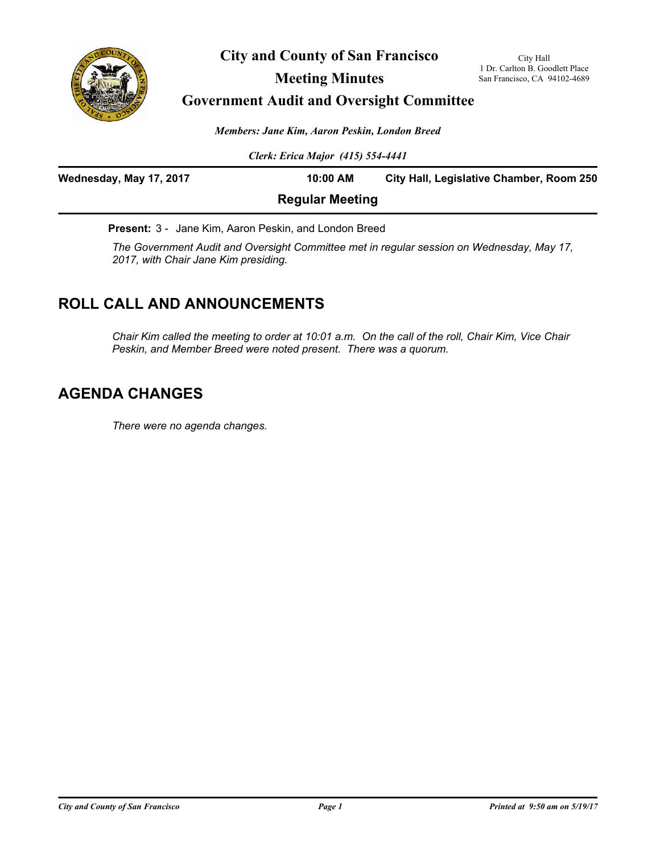

**City and County of San Francisco**

## **Meeting Minutes**

# **Government Audit and Oversight Committee**

*Members: Jane Kim, Aaron Peskin, London Breed*

*Clerk: Erica Major (415) 554-4441*

| Wednesday, May 17, 2017 | 10:00 AM               | City Hall, Legislative Chamber, Room 250 |
|-------------------------|------------------------|------------------------------------------|
|                         | <b>Regular Meeting</b> |                                          |

**Present:** 3 - Jane Kim, Aaron Peskin, and London Breed

*The Government Audit and Oversight Committee met in regular session on Wednesday, May 17, 2017, with Chair Jane Kim presiding.*

# **ROLL CALL AND ANNOUNCEMENTS**

*Chair Kim called the meeting to order at 10:01 a.m. On the call of the roll, Chair Kim, Vice Chair Peskin, and Member Breed were noted present. There was a quorum.*

## **AGENDA CHANGES**

*There were no agenda changes.*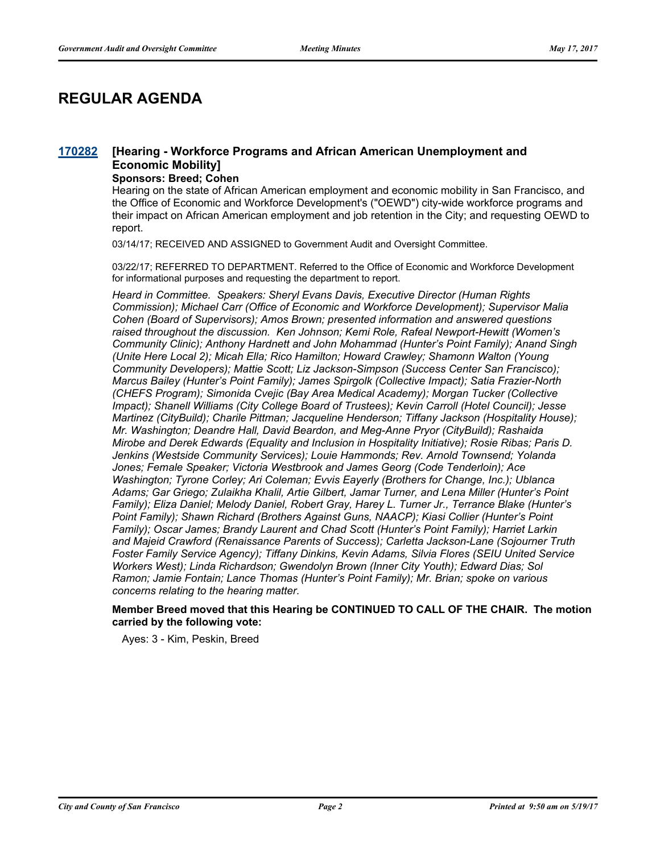# **REGULAR AGENDA**

#### **[Hearing - Workforce Programs and African American Unemployment and Economic Mobility] [170282](http://sfgov.legistar.com/gateway.aspx?m=l&id=31857)**

#### **Sponsors: Breed; Cohen**

Hearing on the state of African American employment and economic mobility in San Francisco, and the Office of Economic and Workforce Development's ("OEWD") city-wide workforce programs and their impact on African American employment and job retention in the City; and requesting OEWD to report.

03/14/17; RECEIVED AND ASSIGNED to Government Audit and Oversight Committee.

03/22/17; REFERRED TO DEPARTMENT. Referred to the Office of Economic and Workforce Development for informational purposes and requesting the department to report.

*Heard in Committee. Speakers: Sheryl Evans Davis, Executive Director (Human Rights Commission); Michael Carr (Office of Economic and Workforce Development); Supervisor Malia Cohen (Board of Supervisors); Amos Brown; presented information and answered questions raised throughout the discussion. Ken Johnson; Kemi Role, Rafeal Newport-Hewitt (Women's Community Clinic); Anthony Hardnett and John Mohammad (Hunter's Point Family); Anand Singh (Unite Here Local 2); Micah Ella; Rico Hamilton; Howard Crawley; Shamonn Walton (Young Community Developers); Mattie Scott; Liz Jackson-Simpson (Success Center San Francisco); Marcus Bailey (Hunter's Point Family); James Spirgolk (Collective Impact); Satia Frazier-North (CHEFS Program); Simonida Cvejic (Bay Area Medical Academy); Morgan Tucker (Collective Impact); Shanell Williams (City College Board of Trustees); Kevin Carroll (Hotel Council); Jesse Martinez (CityBuild); Charile Pittman; Jacqueline Henderson; Tiffany Jackson (Hospitality House); Mr. Washington; Deandre Hall, David Beardon, and Meg-Anne Pryor (CityBuild); Rashaida Mirobe and Derek Edwards (Equality and Inclusion in Hospitality Initiative); Rosie Ribas; Paris D. Jenkins (Westside Community Services); Louie Hammonds; Rev. Arnold Townsend; Yolanda Jones; Female Speaker; Victoria Westbrook and James Georg (Code Tenderloin); Ace Washington; Tyrone Corley; Ari Coleman; Evvis Eayerly (Brothers for Change, Inc.); Ublanca Adams; Gar Griego; Zulaikha Khalil, Artie Gilbert, Jamar Turner, and Lena Miller (Hunter's Point Family); Eliza Daniel; Melody Daniel, Robert Gray, Harey L. Turner Jr., Terrance Blake (Hunter's Point Family); Shawn Richard (Brothers Against Guns, NAACP); Kiasi Collier (Hunter's Point Family); Oscar James; Brandy Laurent and Chad Scott (Hunter's Point Family); Harriet Larkin and Majeid Crawford (Renaissance Parents of Success); Carletta Jackson-Lane (Sojourner Truth Foster Family Service Agency); Tiffany Dinkins, Kevin Adams, Silvia Flores (SEIU United Service Workers West); Linda Richardson; Gwendolyn Brown (Inner City Youth); Edward Dias; Sol Ramon; Jamie Fontain; Lance Thomas (Hunter's Point Family); Mr. Brian; spoke on various concerns relating to the hearing matter.*

#### **Member Breed moved that this Hearing be CONTINUED TO CALL OF THE CHAIR. The motion carried by the following vote:**

Ayes: 3 - Kim, Peskin, Breed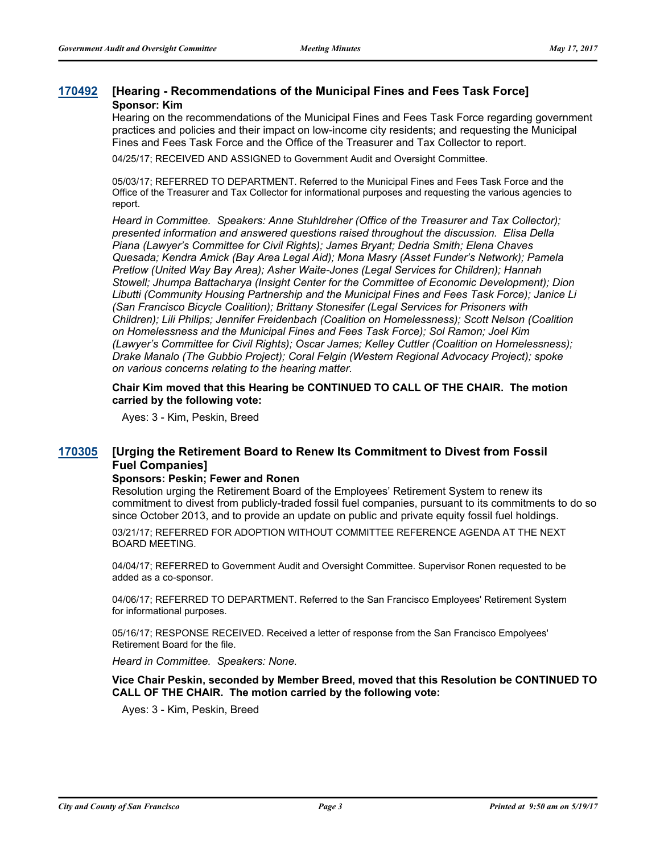### **[170492](http://sfgov.legistar.com/gateway.aspx?m=l&id=32054) [Hearing - Recommendations of the Municipal Fines and Fees Task Force] Sponsor: Kim**

Hearing on the recommendations of the Municipal Fines and Fees Task Force regarding government practices and policies and their impact on low-income city residents; and requesting the Municipal Fines and Fees Task Force and the Office of the Treasurer and Tax Collector to report.

04/25/17; RECEIVED AND ASSIGNED to Government Audit and Oversight Committee.

05/03/17; REFERRED TO DEPARTMENT. Referred to the Municipal Fines and Fees Task Force and the Office of the Treasurer and Tax Collector for informational purposes and requesting the various agencies to report.

*Heard in Committee. Speakers: Anne Stuhldreher (Office of the Treasurer and Tax Collector); presented information and answered questions raised throughout the discussion. Elisa Della Piana (Lawyer's Committee for Civil Rights); James Bryant; Dedria Smith; Elena Chaves Quesada; Kendra Amick (Bay Area Legal Aid); Mona Masry (Asset Funder's Network); Pamela Pretlow (United Way Bay Area); Asher Waite-Jones (Legal Services for Children); Hannah Stowell; Jhumpa Battacharya (Insight Center for the Committee of Economic Development); Dion Libutti (Community Housing Partnership and the Municipal Fines and Fees Task Force); Janice Li (San Francisco Bicycle Coalition); Brittany Stonesifer (Legal Services for Prisoners with Children); Lili Philips; Jennifer Freidenbach (Coalition on Homelessness); Scott Nelson (Coalition on Homelessness and the Municipal Fines and Fees Task Force); Sol Ramon; Joel Kim (Lawyer's Committee for Civil Rights); Oscar James; Kelley Cuttler (Coalition on Homelessness); Drake Manalo (The Gubbio Project); Coral Felgin (Western Regional Advocacy Project); spoke on various concerns relating to the hearing matter.*

**Chair Kim moved that this Hearing be CONTINUED TO CALL OF THE CHAIR. The motion carried by the following vote:**

Ayes: 3 - Kim, Peskin, Breed

#### **[Urging the Retirement Board to Renew Its Commitment to Divest from Fossil Fuel Companies] [170305](http://sfgov.legistar.com/gateway.aspx?m=l&id=31880)**

#### **Sponsors: Peskin; Fewer and Ronen**

Resolution urging the Retirement Board of the Employees' Retirement System to renew its commitment to divest from publicly-traded fossil fuel companies, pursuant to its commitments to do so since October 2013, and to provide an update on public and private equity fossil fuel holdings.

03/21/17; REFERRED FOR ADOPTION WITHOUT COMMITTEE REFERENCE AGENDA AT THE NEXT BOARD MEETING.

04/04/17; REFERRED to Government Audit and Oversight Committee. Supervisor Ronen requested to be added as a co-sponsor.

04/06/17; REFERRED TO DEPARTMENT. Referred to the San Francisco Employees' Retirement System for informational purposes.

05/16/17; RESPONSE RECEIVED. Received a letter of response from the San Francisco Empolyees' Retirement Board for the file.

*Heard in Committee. Speakers: None.*

**Vice Chair Peskin, seconded by Member Breed, moved that this Resolution be CONTINUED TO CALL OF THE CHAIR. The motion carried by the following vote:**

Ayes: 3 - Kim, Peskin, Breed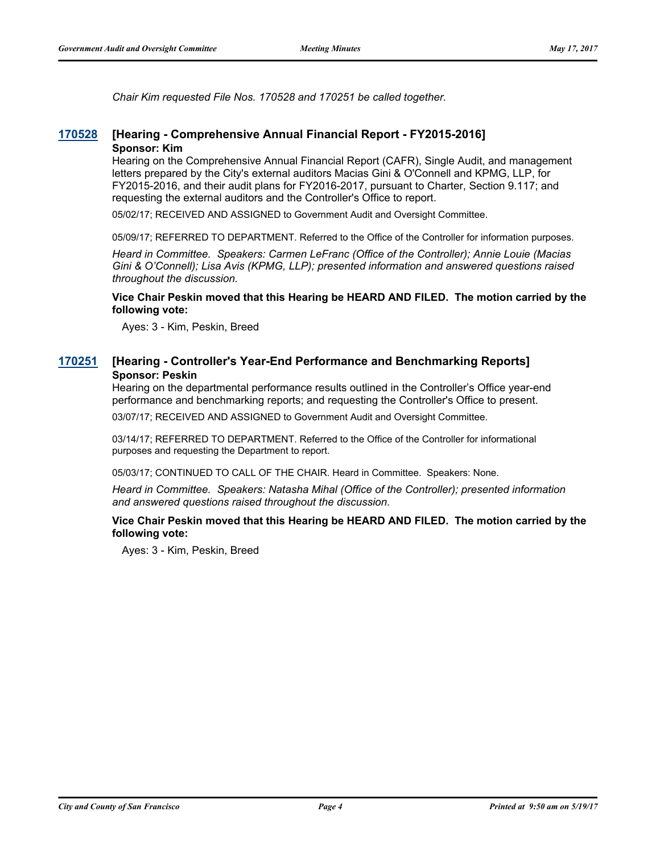*Chair Kim requested File Nos. 170528 and 170251 be called together.*

### **[170528](http://sfgov.legistar.com/gateway.aspx?m=l&id=32084) [Hearing - Comprehensive Annual Financial Report - FY2015-2016] Sponsor: Kim**

Hearing on the Comprehensive Annual Financial Report (CAFR), Single Audit, and management letters prepared by the City's external auditors Macias Gini & O'Connell and KPMG, LLP, for FY2015-2016, and their audit plans for FY2016-2017, pursuant to Charter, Section 9.117; and requesting the external auditors and the Controller's Office to report.

05/02/17; RECEIVED AND ASSIGNED to Government Audit and Oversight Committee.

05/09/17; REFERRED TO DEPARTMENT. Referred to the Office of the Controller for information purposes.

*Heard in Committee. Speakers: Carmen LeFranc (Office of the Controller); Annie Louie (Macias Gini & O'Connell); Lisa Avis (KPMG, LLP); presented information and answered questions raised throughout the discussion.*

**Vice Chair Peskin moved that this Hearing be HEARD AND FILED. The motion carried by the following vote:**

Ayes: 3 - Kim, Peskin, Breed

### **[170251](http://sfgov.legistar.com/gateway.aspx?m=l&id=31826) [Hearing - Controller's Year-End Performance and Benchmarking Reports] Sponsor: Peskin**

Hearing on the departmental performance results outlined in the Controller's Office year-end performance and benchmarking reports; and requesting the Controller's Office to present.

03/07/17; RECEIVED AND ASSIGNED to Government Audit and Oversight Committee.

03/14/17; REFERRED TO DEPARTMENT. Referred to the Office of the Controller for informational purposes and requesting the Department to report.

05/03/17; CONTINUED TO CALL OF THE CHAIR. Heard in Committee. Speakers: None.

*Heard in Committee. Speakers: Natasha Mihal (Office of the Controller); presented information and answered questions raised throughout the discussion.*

#### **Vice Chair Peskin moved that this Hearing be HEARD AND FILED. The motion carried by the following vote:**

Ayes: 3 - Kim, Peskin, Breed